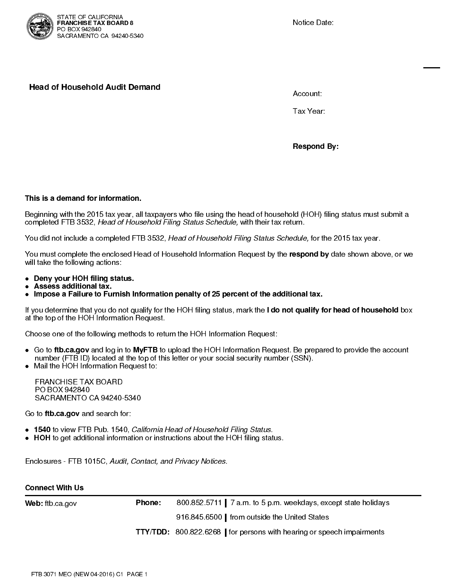

Notice Date:

Account:

Tax Year:

Respond By:

# This is a demand for information.

Beginning with the 2015 tax year, all taxpayers who file using the head of household (HOH) filing status must submit a completed FTB 3532, Head of Household Filing Status Schedule, with their tax return.

You did not include a completed FTB 3532, Head of Household Filing Status Schedule, for the 2015 tax year.

You must complete the enclosed Head of Household Information Request by the respond by date shown above, or we will take the following actions:

- Deny your HOH filing status.
- Assess additional tax.
- Impose a Failure to Furnish Information penalty of 25 percent of the additional tax.

at the top of the HOH Information Request. If you determine that you do not qualify for the HOH filing status, mark the I do not qualify for head of household box

Choose one of the following methods to return the HOH Information Request:

- number (FTB ID) located at the top of this letter or your social security number (SSN). Go to ftb.ca.gov and log in to MyFTB to upload the HOH Information Request. Be prepared to provide the account
- Mail the HOH Information Request to:

 FRANCHISE TAX BOARD PO BOX 942840 SACRAMENTO CA 94240-5340

Go to ftb.ca.gov and search for:

- 1540 to view FTB Pub. 1540, California Head of Household Filing Status.
- HOH to get additional information or instructions about the HOH filing status.

Enclosures - FTB 1015C, Audit, Contact, and Privacy Notices.

#### Connect With Us

| Web: ftb.ca.gov | Phone: | 800.852.5711 7 a.m. to 5 p.m. weekdays, except state holidays        |
|-----------------|--------|----------------------------------------------------------------------|
|                 |        | 916.845.6500 from outside the United States                          |
|                 |        | TTY/TDD: 800.822.6268 for persons with hearing or speech impairments |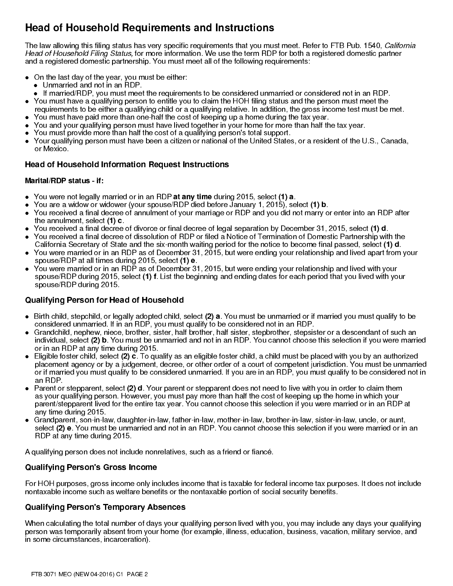# Head of Household Requirements and Instructions

The law allowing this filing status has very specific requirements that you must meet. Refer to FTB Pub. 1540, California and a registered domestic partnership. You must meet all of the following requirements: Head of Household Filing Status, for more information. We use the term RDP for both a registered domestic partner

- On the last day of the year, you must be either:
	- Unmarried and not in an RDP.
	- If married/RDP, you must meet the requirements to be considered unmarried or considered not in an RDP.
- requirements to be either a qualifying child or a qualifying relative. In addition, the gross income test must be met. ● You must have a qualifying person to entitle you to claim the HOH filing status and the person must meet the
- You must have paid more than one-half the cost of keeping up a home during the tax year.
- You and your qualifying person must have lived together in your home for more than half the tax year.
- You must provide more than half the cost of a qualifying person's total support.
- Your qualifying person must have been a citizen or national of the United States, or a resident of the U.S., Canada, or Mexico.

# Head of Household Information Request Instructions

#### Marital/RDP status - if:

- You were not legally married or in an RDP at any time during 2015, select  $(1)$  a.
- You are a widow or widower (your spouse/RDP died before January 1, 2015), select (1) **b**.
- You received a final decree of annulment of your marriage or RDP and you did not marry or enter into an RDP after the annulment, select (1) c.
- You received a final decree of divorce or final decree of legal separation by December 31, 2015, select (1) d.
- You received a final decree of dissolution of RDP or filed a Notice of Termination of Domestic Partnership with the California Secretary of State and the six-month waiting period for the notice to become final passed, select (1) d.
- You were married or in an RDP as of December 31, 2015, but were ending your relationship and lived apart from your spouse/RDP at all times during 2015, select (1) e.
- You were married or in an RDP as of December 31, 2015, but were ending your relationship and lived with your spouse/RDP during 2015, select (1) f. List the beginning and ending dates for each period that you lived with your spouse/RDP during 2015.

# Qualifying Person for Head of Household

- considered unmarried. If in an RDP, you must qualify to be considered not in an RDP. • Birth child, stepchild, or legally adopted child, select (2) a. You must be unmarried or if married you must qualify to be
- or in an RDP at any time during 2015. Grandchild, nephew, niece, brother, sister, half brother, half sister, stepbrother, stepsister or a descendant of such an individual, select (2) b. You must be unmarried and not in an RDP. You cannot choose this selection if you were married
- placement agency or by a judgement, decree, or other order of a court of competent jurisdiction. You must be unmarried or if married you must qualify to be considered unmarried. If you are in an RDP, you must qualify to be considered not in • Eligible foster child, select (2) c. To qualify as an eligible foster child, a child must be placed with you by an authorized an RDP.
- as your qualifying person. However, you must pay more than half the cost of keeping up the home in which your parent/stepparent lived for the entire tax year. You cannot choose this selection if you were married or in an RDP at any time during 2015. • Parent or stepparent, select (2) d. Your parent or stepparent does not need to live with you in order to claim them
- RDP at any time during 2015. Grandparent, son-in-law, daughter-in-law, father-in-law, mother-in-law, brother-in-law, sister-in-law, uncle, or aunt, select (2) e. You must be unmarried and not in an RDP. You cannot choose this selection if you were married or in an

A qualifying person does not include nonrelatives, such as a friend or fiancé.

# Qualifying Person's Gross Income

nontaxable income such as welfare benefits or the nontaxable portion of social security benefits. For HOH purposes, gross income only includes income that is taxable for federal income tax purposes. It does not include

# Qualifying Person's Temporary Absences

person was temporarily absent from your home (for example, illness, education, business, vacation, military service, and in some circumstances, incarceration). When calculating the total number of days your qualifying person lived with you, you may include any days your qualifying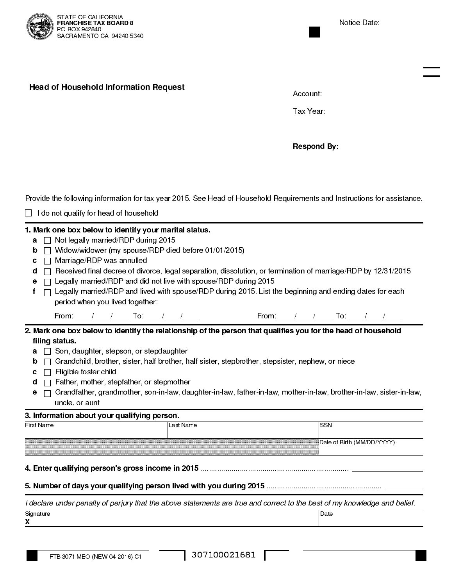

Notice Date:

|  | <b>Head of Household Information Request</b> |
|--|----------------------------------------------|
|--|----------------------------------------------|

Account:

Tax Year:

Respond By:

Provide the following information for tax year 2015. See Head of Household Requirements and Instructions for assistance.

| $\Box$ I do not qualify for head of household |
|-----------------------------------------------|
|-----------------------------------------------|

# 1. Mark one box below to identify your marital status.

- $\blacksquare$  Not legally married/RDP during 2015
- **b**  $\Box$  Widow/widower (my spouse/RDP died before 01/01/2015)
- $c \Box$  Marriage/RDP was annulled
- $d \Box$  Received final decree of divorce, legal separation, dissolution, or termination of marriage/RDP by 12/31/2015
- e  $\Box$  Legally married/RDP and did not live with spouse/RDP during 2015
- period when you lived together:  $f \Box$  Legally married/RDP and lived with spouse/RDP during 2015. List the beginning and ending dates for each

|--|--|

From:  $/$  / To:  $/$ 

2. Mark one box below to identify the relationship of the person that qualifies you for the head of household filing status.

- $a \Box$  Son, daughter, stepson, or stepdaughter
- **b**  $\Box$  Grandchild, brother, sister, half brother, half sister, stepbrother, stepsister, nephew, or niece
- $c \Box$  Eligible foster child
- $d \Box$  Father, mother, stepfather, or stepmother
- e Grandfather, grandmother, son-in-law, daughter-in-law, father-in-law, mother-in-law, brother-in-law, sister-in-law, e uncle, or aunt

#### 3. Information about your qualifying person.

SSN First Name Last Name SSN Date of Birth (MM/DD/YYYY)

4. Enter qualifying person's gross income in 2015 ........................................................................ \_\_\_\_\_\_\_\_\_\_\_\_\_\_\_\_\_

# 5. Number of days your qualifying person lived with you during 2015 ........................................................ \_\_\_\_\_\_\_\_\_

Signature Date <sup>X</sup> I declare under penalty of perjury that the above statements are true and correct to the best of my knowledge and belief.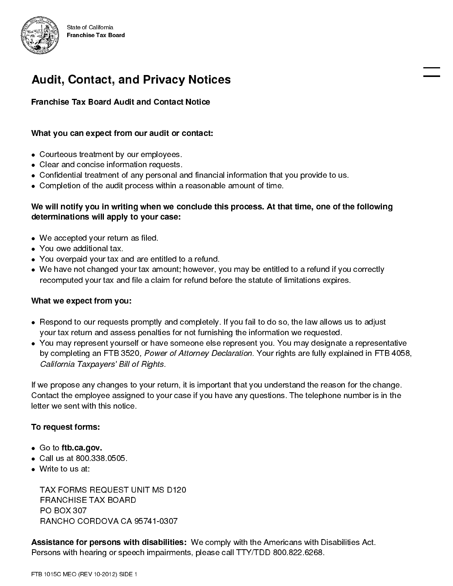



# Audit, Contact, and Privacy Notices

**Franchise Tax Board Audit and Contact Notice** 

# What you can expect from our audit or contact:

- Courteous treatment by our employees.
- Clear and concise information requests.
- Confidential treatment of any personal and financial information that you provide to us.
- Completion of the audit process within a reasonable amount of time.

# We will notify you in writing when we conclude this process. At that time, one of the following determinations will apply to your case:

- We accepted your return as filed.
- You owe additional tax.
- You overpaid your tax and are entitled to a refund.
- recomputed your tax and file a claim for refund before the statute of limitations expires. • We have not changed your tax amount; however, you may be entitled to a refund if you correctly

# What we expect from you:

- your tax return and assess penalties for not furnishing the information we requested. • Respond to our requests promptly and completely. If you fail to do so, the law allows us to adjust
- You may represent yourself or have someone else represent you. You may designate a representative by completing an FTB 3520, Power of Attorney Declaration. Your rights are fully explained in FTB 4058, California Taxpayers' Bill of Rights.

Contact the employee assigned to your case if you have any questions. The telephone number is in the letter we sent with this notice. If we propose any changes to your return, it is important that you understand the reason for the change.

# To request forms:

- Go to ftb.ca.gov.
- Call us at 800.338.0505.
- Write to us at:

 TAX FORMS REQUEST UNIT MS D120 FRANCHISE TAX BOARD PO BOX 307 RANCHO CORDOVA CA 95741-0307

Persons with hearing or speech impairments, please call TTY/TDD 800.822.6268. Assistance for persons with disabilities: We comply with the Americans with Disabilities Act.